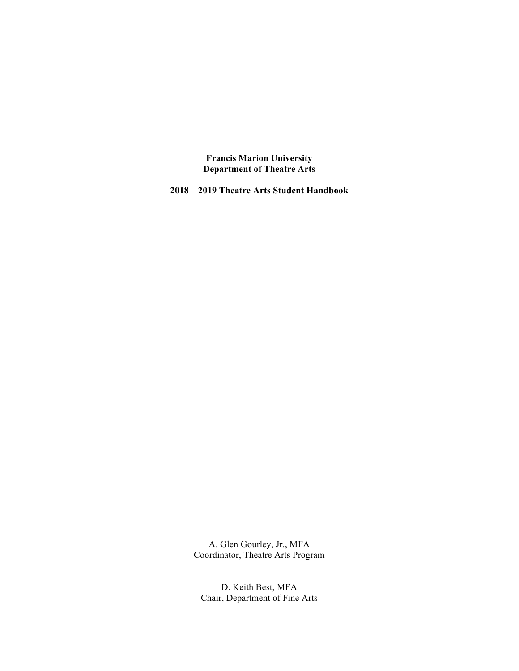**Francis Marion University Department of Theatre Arts**

**2018 – 2019 Theatre Arts Student Handbook**

A. Glen Gourley, Jr., MFA Coordinator, Theatre Arts Program

D. Keith Best, MFA Chair, Department of Fine Arts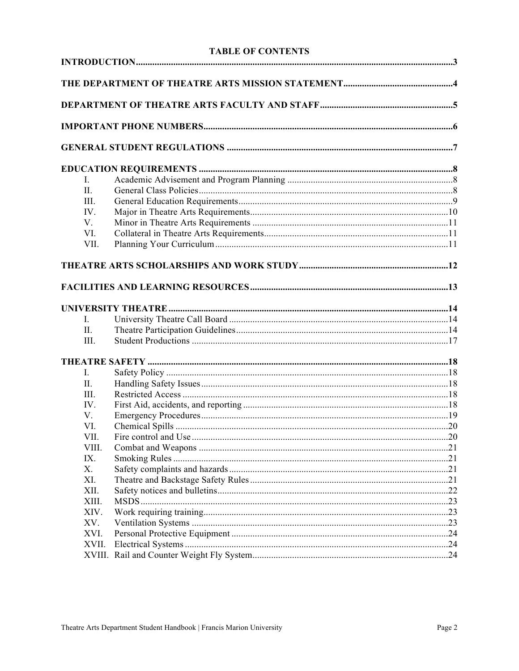# **TABLE OF CONTENTS**

| L              |  |
|----------------|--|
| II.            |  |
| III.           |  |
| IV.            |  |
| V.             |  |
| VI.            |  |
| VII.           |  |
|                |  |
|                |  |
|                |  |
| $\mathbf{I}$ . |  |
| П.             |  |
| III.           |  |
|                |  |
| $\mathbf{I}$ . |  |
| II.            |  |
| III.           |  |
| IV.            |  |
| V.             |  |
| VI.            |  |
| VII.           |  |
| VIII.          |  |
| IX.            |  |
| X.             |  |
| XI.<br>XII.    |  |
| XIII.          |  |
| XIV.           |  |
| XV.            |  |
| XVI.           |  |
| XVII.          |  |
|                |  |
|                |  |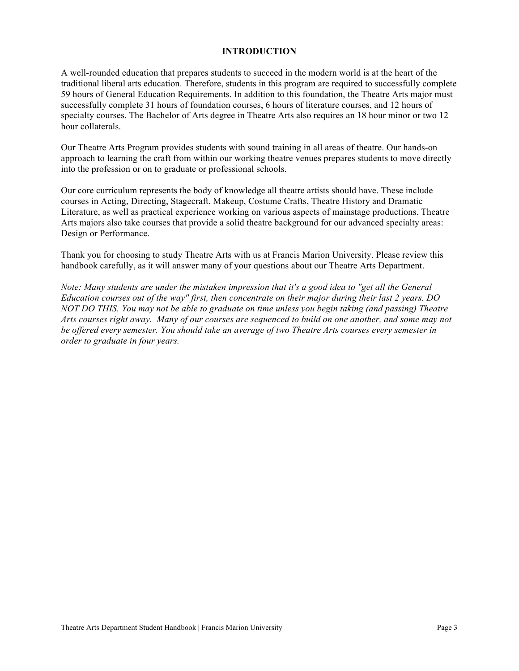## **INTRODUCTION**

A well-rounded education that prepares students to succeed in the modern world is at the heart of the traditional liberal arts education. Therefore, students in this program are required to successfully complete 59 hours of General Education Requirements. In addition to this foundation, the Theatre Arts major must successfully complete 31 hours of foundation courses, 6 hours of literature courses, and 12 hours of specialty courses. The Bachelor of Arts degree in Theatre Arts also requires an 18 hour minor or two 12 hour collaterals.

Our Theatre Arts Program provides students with sound training in all areas of theatre. Our hands-on approach to learning the craft from within our working theatre venues prepares students to move directly into the profession or on to graduate or professional schools.

Our core curriculum represents the body of knowledge all theatre artists should have. These include courses in Acting, Directing, Stagecraft, Makeup, Costume Crafts, Theatre History and Dramatic Literature, as well as practical experience working on various aspects of mainstage productions. Theatre Arts majors also take courses that provide a solid theatre background for our advanced specialty areas: Design or Performance.

Thank you for choosing to study Theatre Arts with us at Francis Marion University. Please review this handbook carefully, as it will answer many of your questions about our Theatre Arts Department.

*Note: Many students are under the mistaken impression that it's a good idea to "get all the General Education courses out of the way" first, then concentrate on their major during their last 2 years. DO NOT DO THIS. You may not be able to graduate on time unless you begin taking (and passing) Theatre Arts courses right away. Many of our courses are sequenced to build on one another, and some may not be offered every semester. You should take an average of two Theatre Arts courses every semester in order to graduate in four years.*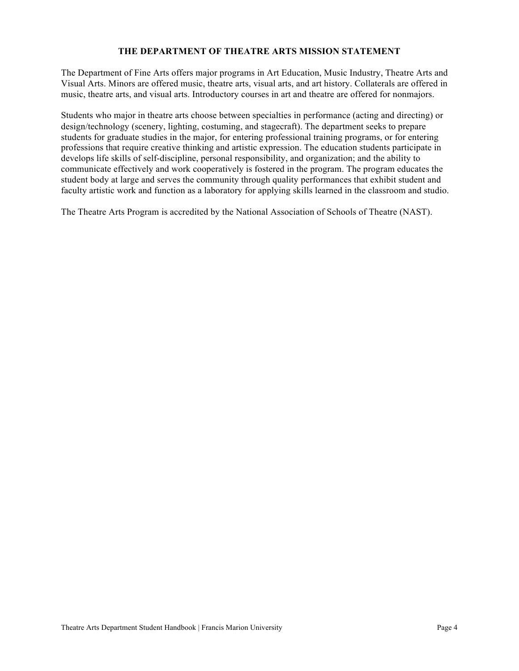# **THE DEPARTMENT OF THEATRE ARTS MISSION STATEMENT**

The Department of Fine Arts offers major programs in Art Education, Music Industry, Theatre Arts and Visual Arts. Minors are offered music, theatre arts, visual arts, and art history. Collaterals are offered in music, theatre arts, and visual arts. Introductory courses in art and theatre are offered for nonmajors.

Students who major in theatre arts choose between specialties in performance (acting and directing) or design/technology (scenery, lighting, costuming, and stagecraft). The department seeks to prepare students for graduate studies in the major, for entering professional training programs, or for entering professions that require creative thinking and artistic expression. The education students participate in develops life skills of self-discipline, personal responsibility, and organization; and the ability to communicate effectively and work cooperatively is fostered in the program. The program educates the student body at large and serves the community through quality performances that exhibit student and faculty artistic work and function as a laboratory for applying skills learned in the classroom and studio.

The Theatre Arts Program is accredited by the National Association of Schools of Theatre (NAST).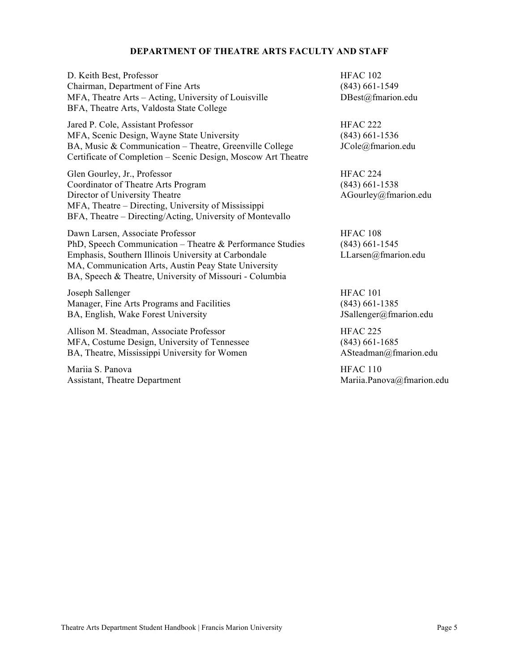## **DEPARTMENT OF THEATRE ARTS FACULTY AND STAFF**

D. Keith Best, Professor Chairman, Department of Fine Arts MFA, Theatre Arts – Acting, University of Louisville BFA, Theatre Arts, Valdosta State College

Jared P. Cole, Assistant Professor MFA, Scenic Design, Wayne State University BA, Music & Communication – Theatre, Greenville College Certificate of Completion – Scenic Design, Moscow Art Theatre

Glen Gourley, Jr., Professor Coordinator of Theatre Arts Program Director of University Theatre MFA, Theatre – Directing, University of Mississippi BFA, Theatre – Directing/Acting, University of Montevallo

Dawn Larsen, Associate Professor PhD, Speech Communication – Theatre & Performance Studies Emphasis, Southern Illinois University at Carbondale MA, Communication Arts, Austin Peay State University BA, Speech & Theatre, University of Missouri - Columbia

Joseph Sallenger Manager, Fine Arts Programs and Facilities BA, English, Wake Forest University

Allison M. Steadman, Associate Professor MFA, Costume Design, University of Tennessee BA, Theatre, Mississippi University for Women

Mariia S. Panova Assistant, Theatre Department HFAC 102 (843) 661-1549 DBest@fmarion.edu

HFAC 222 (843) 661-1536 JCole@fmarion.edu

HFAC 224 (843) 661-1538 AGourley@fmarion.edu

HFAC 108 (843) 661-1545 LLarsen@fmarion.edu

HFAC 101 (843) 661-1385 JSallenger@fmarion.edu

HFAC 225 (843) 661-1685 ASteadman@fmarion.edu

HFAC 110 Mariia.Panova@fmarion.edu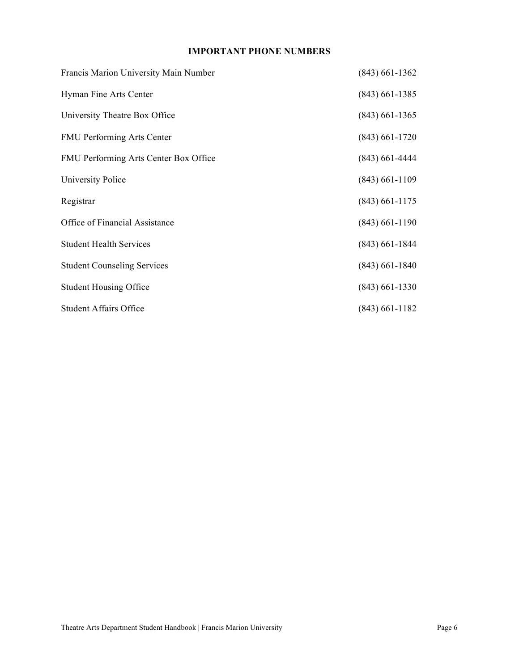# **IMPORTANT PHONE NUMBERS**

| Francis Marion University Main Number | $(843)$ 661-1362 |
|---------------------------------------|------------------|
| Hyman Fine Arts Center                | $(843)$ 661-1385 |
| University Theatre Box Office         | $(843)$ 661-1365 |
| <b>FMU Performing Arts Center</b>     | $(843)$ 661-1720 |
| FMU Performing Arts Center Box Office | $(843)$ 661-4444 |
| University Police                     | $(843)$ 661-1109 |
| Registrar                             | $(843)$ 661-1175 |
| Office of Financial Assistance        | $(843)$ 661-1190 |
| <b>Student Health Services</b>        | $(843)$ 661-1844 |
| <b>Student Counseling Services</b>    | $(843)$ 661-1840 |
| <b>Student Housing Office</b>         | $(843)$ 661-1330 |
| <b>Student Affairs Office</b>         | $(843)$ 661-1182 |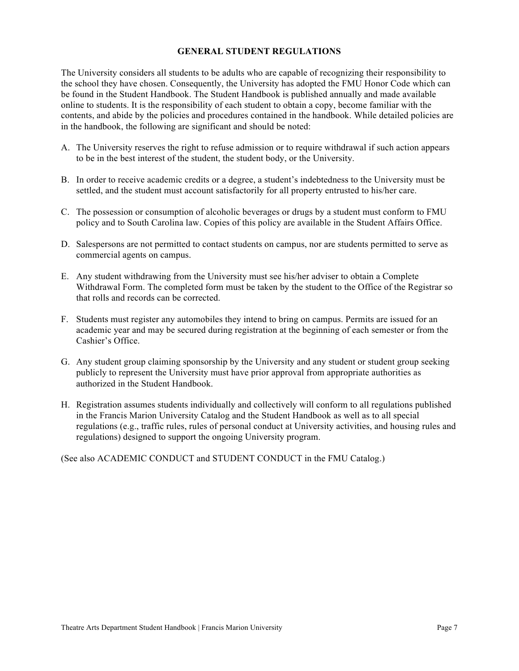## **GENERAL STUDENT REGULATIONS**

The University considers all students to be adults who are capable of recognizing their responsibility to the school they have chosen. Consequently, the University has adopted the FMU Honor Code which can be found in the Student Handbook. The Student Handbook is published annually and made available online to students. It is the responsibility of each student to obtain a copy, become familiar with the contents, and abide by the policies and procedures contained in the handbook. While detailed policies are in the handbook, the following are significant and should be noted:

- A. The University reserves the right to refuse admission or to require withdrawal if such action appears to be in the best interest of the student, the student body, or the University.
- B. In order to receive academic credits or a degree, a student's indebtedness to the University must be settled, and the student must account satisfactorily for all property entrusted to his/her care.
- C. The possession or consumption of alcoholic beverages or drugs by a student must conform to FMU policy and to South Carolina law. Copies of this policy are available in the Student Affairs Office.
- D. Salespersons are not permitted to contact students on campus, nor are students permitted to serve as commercial agents on campus.
- E. Any student withdrawing from the University must see his/her adviser to obtain a Complete Withdrawal Form. The completed form must be taken by the student to the Office of the Registrar so that rolls and records can be corrected.
- F. Students must register any automobiles they intend to bring on campus. Permits are issued for an academic year and may be secured during registration at the beginning of each semester or from the Cashier's Office.
- G. Any student group claiming sponsorship by the University and any student or student group seeking publicly to represent the University must have prior approval from appropriate authorities as authorized in the Student Handbook.
- H. Registration assumes students individually and collectively will conform to all regulations published in the Francis Marion University Catalog and the Student Handbook as well as to all special regulations (e.g., traffic rules, rules of personal conduct at University activities, and housing rules and regulations) designed to support the ongoing University program.

(See also ACADEMIC CONDUCT and STUDENT CONDUCT in the FMU Catalog.)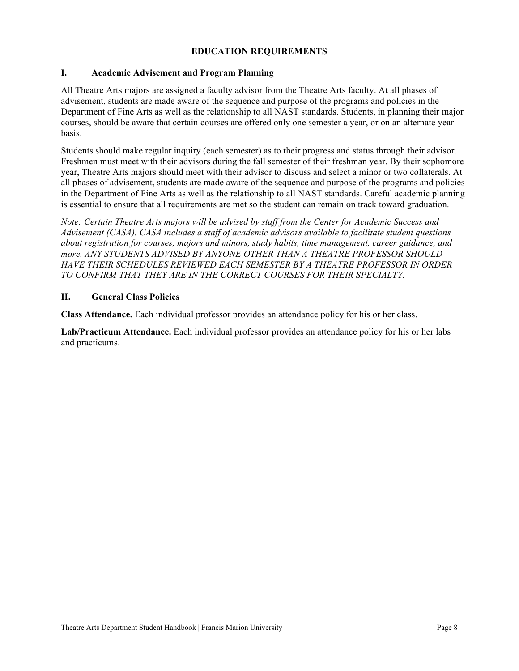# **EDUCATION REQUIREMENTS**

# **I. Academic Advisement and Program Planning**

All Theatre Arts majors are assigned a faculty advisor from the Theatre Arts faculty. At all phases of advisement, students are made aware of the sequence and purpose of the programs and policies in the Department of Fine Arts as well as the relationship to all NAST standards. Students, in planning their major courses, should be aware that certain courses are offered only one semester a year, or on an alternate year basis.

Students should make regular inquiry (each semester) as to their progress and status through their advisor. Freshmen must meet with their advisors during the fall semester of their freshman year. By their sophomore year, Theatre Arts majors should meet with their advisor to discuss and select a minor or two collaterals. At all phases of advisement, students are made aware of the sequence and purpose of the programs and policies in the Department of Fine Arts as well as the relationship to all NAST standards. Careful academic planning is essential to ensure that all requirements are met so the student can remain on track toward graduation.

*Note: Certain Theatre Arts majors will be advised by staff from the Center for Academic Success and Advisement (CASA). CASA includes a staff of academic advisors available to facilitate student questions about registration for courses, majors and minors, study habits, time management, career guidance, and more. ANY STUDENTS ADVISED BY ANYONE OTHER THAN A THEATRE PROFESSOR SHOULD HAVE THEIR SCHEDULES REVIEWED EACH SEMESTER BY A THEATRE PROFESSOR IN ORDER TO CONFIRM THAT THEY ARE IN THE CORRECT COURSES FOR THEIR SPECIALTY.*

## **II. General Class Policies**

**Class Attendance.** Each individual professor provides an attendance policy for his or her class.

**Lab/Practicum Attendance.** Each individual professor provides an attendance policy for his or her labs and practicums.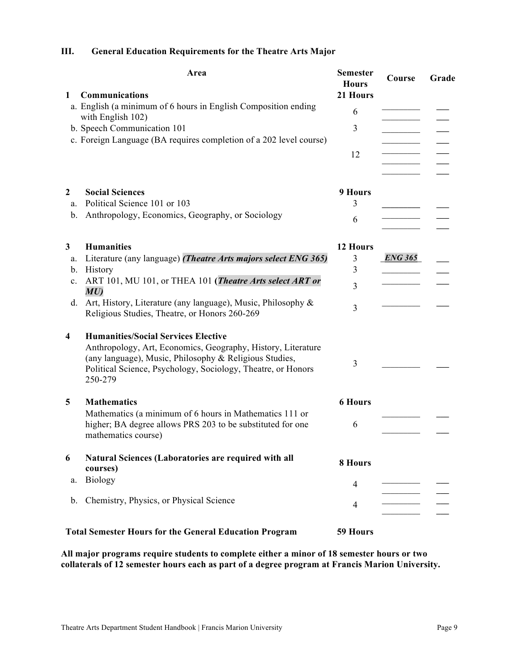# **Area Semester Hours Course Grade 1 Communications 21 Hours** a. English (a minimum of 6 hours in English Composition ending  $\begin{array}{ccc}\n & 6 \\
& \overline{\phantom{2766666666600}} \end{array}$ **\_\_\_\_\_\_\_\_\_ \_\_\_ b.** Speech Communication 101 3 c. Foreign Language (BA requires completion of a 202 level course) 12 **\_\_\_\_\_\_\_\_\_ \_\_\_ \_\_\_\_\_\_\_\_\_ \_\_\_ \_\_\_\_\_\_\_\_\_ \_\_\_ \_\_\_\_\_\_\_\_\_ \_\_\_ 2 Social Sciences 9 Hours** a. Political Science 101 or 103 3 **\_\_\_\_\_\_\_\_\_ \_\_\_** b. Anthropology, Economics, Geography, or Sociology 6 **\_\_\_\_\_\_\_\_\_ \_\_\_ \_\_\_\_\_\_\_\_\_ \_\_\_ 3 Humanities 12 Hours** a. Literature (any language) *(Theatre Arts majors select ENG 365)* 3 **\_***ENG 365***\_ \_\_\_** b. History 3 **\_\_\_\_\_\_\_\_\_ \_\_\_** c. ART 101, MU 101, or THEA 101 **(***Theatre Arts select ART or* 3 \_\_\_\_\_\_\_\_\_\_\_\_\_\_\_\_\_\_\_ d. Art, History, Literature (any language), Music, Philosophy & Art, History, Elterature (any language), Music, Philosophy  $\alpha$  3<br>Religious Studies, Theatre, or Honors 260-269 **\_\_\_\_\_\_\_\_\_ \_\_\_ 4 Humanities/Social Services Elective** Anthropology, Art, Economics, Geography, History, Literature (any language), Music, Philosophy & Religious Studies, Political Science, Psychology, Sociology, Theatre, or Honors 250-279 3 **\_\_\_\_\_\_\_\_\_ \_\_\_ 5 Mathematics 6 Hours** Mathematics (a minimum of 6 hours in Mathematics 111 or higher; BA degree allows PRS 203 to be substituted for one mathematics course) 6 **\_\_\_\_\_\_\_\_\_ \_\_\_ \_\_\_\_\_\_\_\_\_ \_\_\_ 6 Natural Sciences (Laboratories are required with all courses) 8 Hours** a. Biology <sup>4</sup>**\_\_\_\_\_\_\_\_\_ \_\_\_ \_\_\_\_\_\_\_\_\_ \_\_\_** b. Chemistry, Physics, or Physical Science <sup>4</sup>**\_\_\_\_\_\_\_\_\_ \_\_\_ \_\_\_\_\_\_\_\_\_ \_\_\_ Total Semester Hours for the General Education Program 59 Hours**

# **III. General Education Requirements for the Theatre Arts Major**

**All major programs require students to complete either a minor of 18 semester hours or two collaterals of 12 semester hours each as part of a degree program at Francis Marion University.**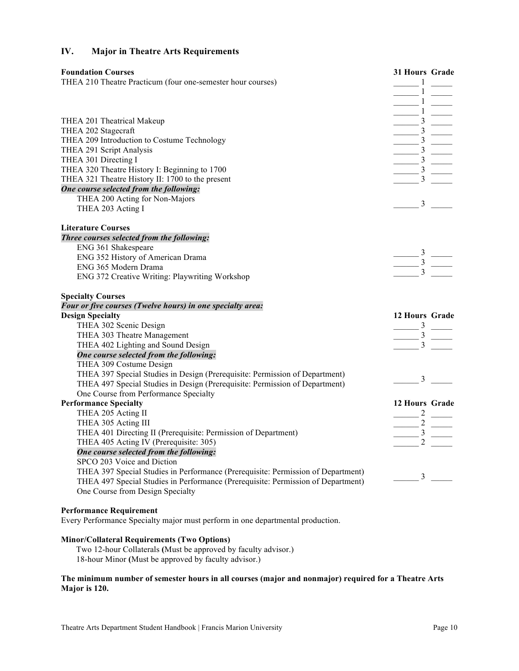# **IV. Major in Theatre Arts Requirements**

| <b>Foundation Courses</b><br>THEA 210 Theatre Practicum (four one-semester hour courses) | 31 Hours Grade<br>$\frac{1}{\frac{1}{\frac{1}{3}}\frac{1}{\frac{1}{3}}\frac{1}{\frac{1}{3}}\frac{1}{\frac{1}{3}}\frac{1}{\frac{1}{3}}\frac{1}{\frac{1}{3}}\frac{1}{\frac{1}{3}}\frac{1}{\frac{1}{3}}\frac{1}{\frac{1}{3}}\frac{1}{\frac{1}{3}}\frac{1}{\frac{1}{3}}\frac{1}{\frac{1}{3}}\frac{1}{\frac{1}{3}}\frac{1}{\frac{1}{3}}\frac{1}{\frac{1}{3}}\frac{1}{\frac{1}{3}}\frac{1}{\frac{1}{3}}\frac{1}{\frac{1}{3$ |
|------------------------------------------------------------------------------------------|-----------------------------------------------------------------------------------------------------------------------------------------------------------------------------------------------------------------------------------------------------------------------------------------------------------------------------------------------------------------------------------------------------------------------|
|                                                                                          |                                                                                                                                                                                                                                                                                                                                                                                                                       |
| THEA 201 Theatrical Makeup                                                               |                                                                                                                                                                                                                                                                                                                                                                                                                       |
| THEA 202 Stagecraft                                                                      |                                                                                                                                                                                                                                                                                                                                                                                                                       |
| THEA 209 Introduction to Costume Technology                                              |                                                                                                                                                                                                                                                                                                                                                                                                                       |
| THEA 291 Script Analysis                                                                 |                                                                                                                                                                                                                                                                                                                                                                                                                       |
| THEA 301 Directing I                                                                     |                                                                                                                                                                                                                                                                                                                                                                                                                       |
| THEA 320 Theatre History I: Beginning to 1700                                            |                                                                                                                                                                                                                                                                                                                                                                                                                       |
| THEA 321 Theatre History II: 1700 to the present                                         |                                                                                                                                                                                                                                                                                                                                                                                                                       |
| One course selected from the following:                                                  |                                                                                                                                                                                                                                                                                                                                                                                                                       |
| THEA 200 Acting for Non-Majors                                                           |                                                                                                                                                                                                                                                                                                                                                                                                                       |
| THEA 203 Acting I                                                                        | $\frac{3}{2}$                                                                                                                                                                                                                                                                                                                                                                                                         |
| <b>Literature Courses</b>                                                                |                                                                                                                                                                                                                                                                                                                                                                                                                       |
| Three courses selected from the following:                                               |                                                                                                                                                                                                                                                                                                                                                                                                                       |
| ENG 361 Shakespeare                                                                      |                                                                                                                                                                                                                                                                                                                                                                                                                       |
| ENG 352 History of American Drama                                                        |                                                                                                                                                                                                                                                                                                                                                                                                                       |
| ENG 365 Modern Drama                                                                     | $\frac{3}{\frac{3}{\frac{3}{\cdots}}}$                                                                                                                                                                                                                                                                                                                                                                                |
| ENG 372 Creative Writing: Playwriting Workshop                                           |                                                                                                                                                                                                                                                                                                                                                                                                                       |
| <b>Specialty Courses</b>                                                                 |                                                                                                                                                                                                                                                                                                                                                                                                                       |
| Four or five courses (Twelve hours) in one specialty area:                               |                                                                                                                                                                                                                                                                                                                                                                                                                       |
| <b>Design Specialty</b>                                                                  | 12 Hours Grade                                                                                                                                                                                                                                                                                                                                                                                                        |
| THEA 302 Scenic Design                                                                   | $\frac{3}{3}$ $\frac{1}{3}$                                                                                                                                                                                                                                                                                                                                                                                           |
| THEA 303 Theatre Management                                                              |                                                                                                                                                                                                                                                                                                                                                                                                                       |
| THEA 402 Lighting and Sound Design                                                       |                                                                                                                                                                                                                                                                                                                                                                                                                       |
| One course selected from the following:                                                  |                                                                                                                                                                                                                                                                                                                                                                                                                       |
| THEA 309 Costume Design                                                                  |                                                                                                                                                                                                                                                                                                                                                                                                                       |
| THEA 397 Special Studies in Design (Prerequisite: Permission of Department)              | $\frac{3}{2}$                                                                                                                                                                                                                                                                                                                                                                                                         |
| THEA 497 Special Studies in Design (Prerequisite: Permission of Department)              |                                                                                                                                                                                                                                                                                                                                                                                                                       |
| One Course from Performance Specialty                                                    |                                                                                                                                                                                                                                                                                                                                                                                                                       |
| <b>Performance Specialty</b>                                                             | 12 Hours Grade                                                                                                                                                                                                                                                                                                                                                                                                        |
| THEA 205 Acting II                                                                       | $\frac{2}{\underline{2}}\underline{2}$                                                                                                                                                                                                                                                                                                                                                                                |
| THEA 305 Acting III                                                                      |                                                                                                                                                                                                                                                                                                                                                                                                                       |
| THEA 401 Directing II (Prerequisite: Permission of Department)                           |                                                                                                                                                                                                                                                                                                                                                                                                                       |
| THEA 405 Acting IV (Prerequisite: 305)                                                   |                                                                                                                                                                                                                                                                                                                                                                                                                       |
| One course selected from the following:                                                  |                                                                                                                                                                                                                                                                                                                                                                                                                       |
| SPCO 203 Voice and Diction                                                               |                                                                                                                                                                                                                                                                                                                                                                                                                       |
| THEA 397 Special Studies in Performance (Prerequisite: Permission of Department)         | 3                                                                                                                                                                                                                                                                                                                                                                                                                     |
| THEA 497 Special Studies in Performance (Prerequisite: Permission of Department)         |                                                                                                                                                                                                                                                                                                                                                                                                                       |
| One Course from Design Specialty                                                         |                                                                                                                                                                                                                                                                                                                                                                                                                       |
|                                                                                          |                                                                                                                                                                                                                                                                                                                                                                                                                       |

**Performance Requirement** Every Performance Specialty major must perform in one departmental production.

#### **Minor/Collateral Requirements (Two Options)**

Two 12-hour Collaterals **(**Must be approved by faculty advisor.) 18-hour Minor **(**Must be approved by faculty advisor.)

**The minimum number of semester hours in all courses (major and nonmajor) required for a Theatre Arts Major is 120.**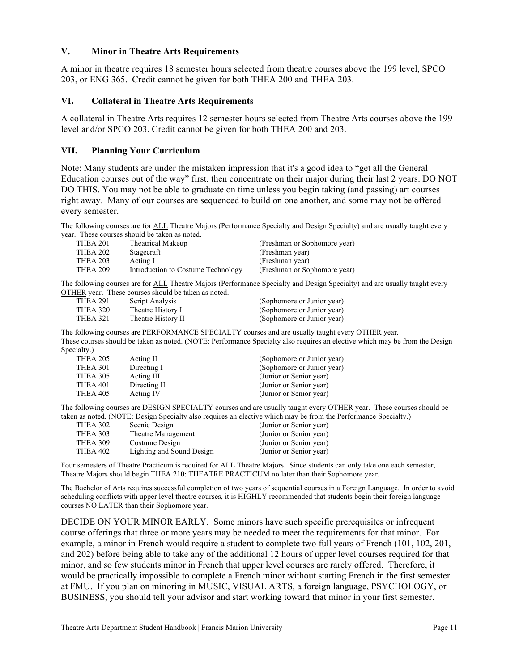## **V. Minor in Theatre Arts Requirements**

A minor in theatre requires 18 semester hours selected from theatre courses above the 199 level, SPCO 203, or ENG 365. Credit cannot be given for both THEA 200 and THEA 203.

#### **VI. Collateral in Theatre Arts Requirements**

A collateral in Theatre Arts requires 12 semester hours selected from Theatre Arts courses above the 199 level and/or SPCO 203. Credit cannot be given for both THEA 200 and 203.

#### **VII. Planning Your Curriculum**

Note: Many students are under the mistaken impression that it's a good idea to "get all the General Education courses out of the way" first, then concentrate on their major during their last 2 years. DO NOT DO THIS. You may not be able to graduate on time unless you begin taking (and passing) art courses right away. Many of our courses are sequenced to build on one another, and some may not be offered every semester.

The following courses are for ALL Theatre Majors (Performance Specialty and Design Specialty) and are usually taught every year. These courses should be taken as noted.

| THEA 201        | Theatrical Makeup                  | (Freshman or Sophomore year) |
|-----------------|------------------------------------|------------------------------|
| THEA 202        | Stagecraft                         | (Freshman year)              |
| THEA 203        | Acting I                           | (Freshman year)              |
| <b>THEA 209</b> | Introduction to Costume Technology | (Freshman or Sophomore year) |

The following courses are for ALL Theatre Majors (Performance Specialty and Design Specialty) and are usually taught every OTHER year. These courses should be taken as noted.

| THEA 291 | Script Analysis    | (Sophomore or Junior year) |
|----------|--------------------|----------------------------|
| THEA 320 | Theatre History I  | (Sophomore or Junior year) |
| THEA 321 | Theatre History II | (Sophomore or Junior year) |

The following courses are PERFORMANCE SPECIALTY courses and are usually taught every OTHER year. These courses should be taken as noted. (NOTE: Performance Specialty also requires an elective which may be from the Design Specialty.)

| THEA 205 | Acting II    | (Sophomore or Junior year) |
|----------|--------------|----------------------------|
| THEA 301 | Directing I  | (Sophomore or Junior year) |
| THEA 305 | Acting III   | (Junior or Senior year)    |
| THEA 401 | Directing II | (Junior or Senior year)    |
| THEA 405 | Acting IV    | (Junior or Senior year)    |
|          |              |                            |

The following courses are DESIGN SPECIALTY courses and are usually taught every OTHER year. These courses should be taken as noted. (NOTE: Design Specialty also requires an elective which may be from the Performance Specialty.)

| THEA 302        | Scenic Design             | (Junior or Senior year) |
|-----------------|---------------------------|-------------------------|
| THEA 303        | Theatre Management        | (Junior or Senior year) |
| <b>THEA 309</b> | Costume Design            | (Junior or Senior year) |
| THEA 402        | Lighting and Sound Design | (Junior or Senior year) |
|                 |                           |                         |

Four semesters of Theatre Practicum is required for ALL Theatre Majors. Since students can only take one each semester, Theatre Majors should begin THEA 210: THEATRE PRACTICUM no later than their Sophomore year.

The Bachelor of Arts requires successful completion of two years of sequential courses in a Foreign Language. In order to avoid scheduling conflicts with upper level theatre courses, it is HIGHLY recommended that students begin their foreign language courses NO LATER than their Sophomore year.

DECIDE ON YOUR MINOR EARLY. Some minors have such specific prerequisites or infrequent course offerings that three or more years may be needed to meet the requirements for that minor. For example, a minor in French would require a student to complete two full years of French (101, 102, 201, and 202) before being able to take any of the additional 12 hours of upper level courses required for that minor, and so few students minor in French that upper level courses are rarely offered. Therefore, it would be practically impossible to complete a French minor without starting French in the first semester at FMU. If you plan on minoring in MUSIC, VISUAL ARTS, a foreign language, PSYCHOLOGY, or BUSINESS, you should tell your advisor and start working toward that minor in your first semester.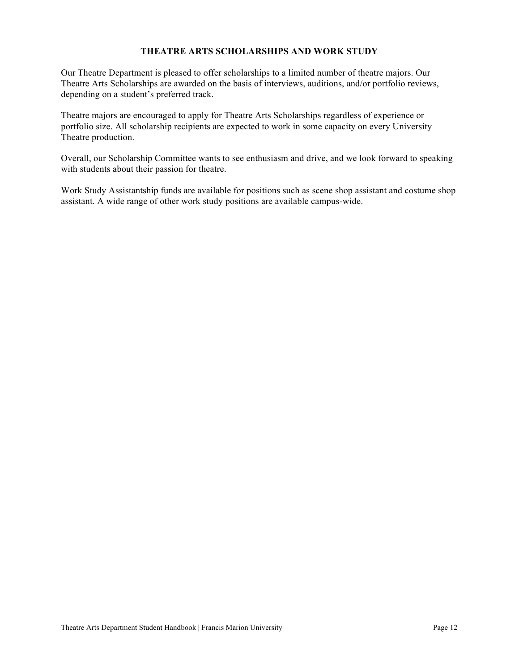# **THEATRE ARTS SCHOLARSHIPS AND WORK STUDY**

Our Theatre Department is pleased to offer scholarships to a limited number of theatre majors. Our Theatre Arts Scholarships are awarded on the basis of interviews, auditions, and/or portfolio reviews, depending on a student's preferred track.

Theatre majors are encouraged to apply for Theatre Arts Scholarships regardless of experience or portfolio size. All scholarship recipients are expected to work in some capacity on every University Theatre production.

Overall, our Scholarship Committee wants to see enthusiasm and drive, and we look forward to speaking with students about their passion for theatre.

Work Study Assistantship funds are available for positions such as scene shop assistant and costume shop assistant. A wide range of other work study positions are available campus-wide.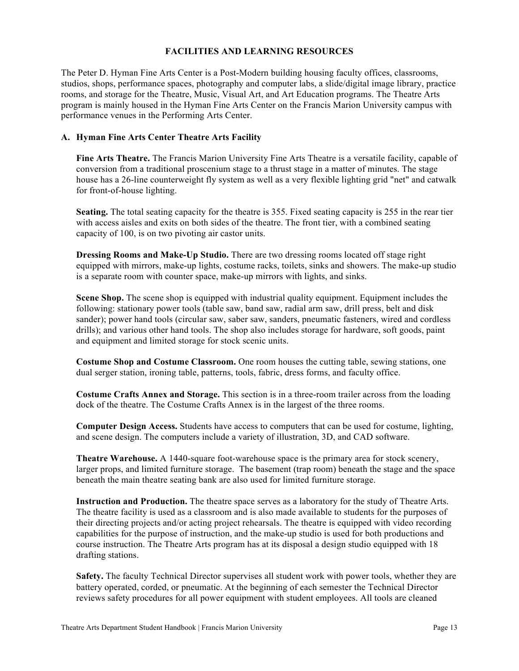# **FACILITIES AND LEARNING RESOURCES**

The Peter D. Hyman Fine Arts Center is a Post-Modern building housing faculty offices, classrooms, studios, shops, performance spaces, photography and computer labs, a slide/digital image library, practice rooms, and storage for the Theatre, Music, Visual Art, and Art Education programs. The Theatre Arts program is mainly housed in the Hyman Fine Arts Center on the Francis Marion University campus with performance venues in the Performing Arts Center.

# **A. Hyman Fine Arts Center Theatre Arts Facility**

**Fine Arts Theatre.** The Francis Marion University Fine Arts Theatre is a versatile facility, capable of conversion from a traditional proscenium stage to a thrust stage in a matter of minutes. The stage house has a 26-line counterweight fly system as well as a very flexible lighting grid "net" and catwalk for front-of-house lighting.

**Seating.** The total seating capacity for the theatre is 355. Fixed seating capacity is 255 in the rear tier with access aisles and exits on both sides of the theatre. The front tier, with a combined seating capacity of 100, is on two pivoting air castor units.

**Dressing Rooms and Make-Up Studio.** There are two dressing rooms located off stage right equipped with mirrors, make-up lights, costume racks, toilets, sinks and showers. The make-up studio is a separate room with counter space, make-up mirrors with lights, and sinks.

**Scene Shop.** The scene shop is equipped with industrial quality equipment. Equipment includes the following: stationary power tools (table saw, band saw, radial arm saw, drill press, belt and disk sander); power hand tools (circular saw, saber saw, sanders, pneumatic fasteners, wired and cordless drills); and various other hand tools. The shop also includes storage for hardware, soft goods, paint and equipment and limited storage for stock scenic units.

**Costume Shop and Costume Classroom.** One room houses the cutting table, sewing stations, one dual serger station, ironing table, patterns, tools, fabric, dress forms, and faculty office.

**Costume Crafts Annex and Storage.** This section is in a three-room trailer across from the loading dock of the theatre. The Costume Crafts Annex is in the largest of the three rooms.

**Computer Design Access.** Students have access to computers that can be used for costume, lighting, and scene design. The computers include a variety of illustration, 3D, and CAD software.

**Theatre Warehouse.** A 1440-square foot-warehouse space is the primary area for stock scenery, larger props, and limited furniture storage. The basement (trap room) beneath the stage and the space beneath the main theatre seating bank are also used for limited furniture storage.

**Instruction and Production.** The theatre space serves as a laboratory for the study of Theatre Arts. The theatre facility is used as a classroom and is also made available to students for the purposes of their directing projects and/or acting project rehearsals. The theatre is equipped with video recording capabilities for the purpose of instruction, and the make-up studio is used for both productions and course instruction. The Theatre Arts program has at its disposal a design studio equipped with 18 drafting stations.

**Safety.** The faculty Technical Director supervises all student work with power tools, whether they are battery operated, corded, or pneumatic. At the beginning of each semester the Technical Director reviews safety procedures for all power equipment with student employees. All tools are cleaned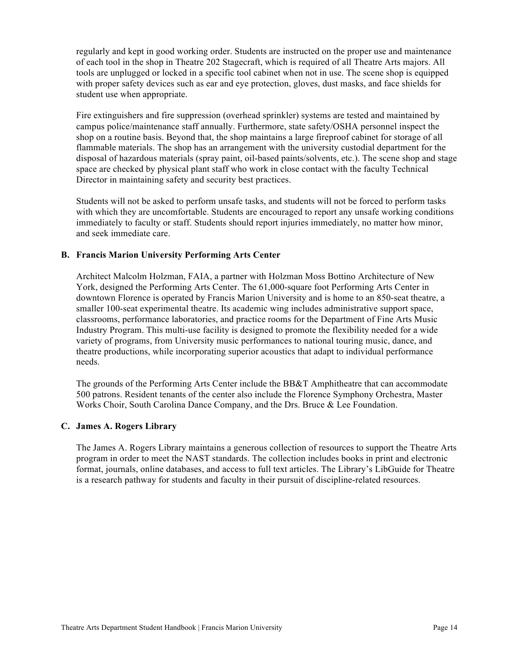regularly and kept in good working order. Students are instructed on the proper use and maintenance of each tool in the shop in Theatre 202 Stagecraft, which is required of all Theatre Arts majors. All tools are unplugged or locked in a specific tool cabinet when not in use. The scene shop is equipped with proper safety devices such as ear and eye protection, gloves, dust masks, and face shields for student use when appropriate.

Fire extinguishers and fire suppression (overhead sprinkler) systems are tested and maintained by campus police/maintenance staff annually. Furthermore, state safety/OSHA personnel inspect the shop on a routine basis. Beyond that, the shop maintains a large fireproof cabinet for storage of all flammable materials. The shop has an arrangement with the university custodial department for the disposal of hazardous materials (spray paint, oil-based paints/solvents, etc.). The scene shop and stage space are checked by physical plant staff who work in close contact with the faculty Technical Director in maintaining safety and security best practices.

Students will not be asked to perform unsafe tasks, and students will not be forced to perform tasks with which they are uncomfortable. Students are encouraged to report any unsafe working conditions immediately to faculty or staff. Students should report injuries immediately, no matter how minor, and seek immediate care.

## **B. Francis Marion University Performing Arts Center**

Architect Malcolm Holzman, FAIA, a partner with Holzman Moss Bottino Architecture of New York, designed the Performing Arts Center. The 61,000-square foot Performing Arts Center in downtown Florence is operated by Francis Marion University and is home to an 850-seat theatre, a smaller 100-seat experimental theatre. Its academic wing includes administrative support space, classrooms, performance laboratories, and practice rooms for the Department of Fine Arts Music Industry Program. This multi-use facility is designed to promote the flexibility needed for a wide variety of programs, from University music performances to national touring music, dance, and theatre productions, while incorporating superior acoustics that adapt to individual performance needs.

The grounds of the Performing Arts Center include the BB&T Amphitheatre that can accommodate 500 patrons. Resident tenants of the center also include the Florence Symphony Orchestra, Master Works Choir, South Carolina Dance Company, and the Drs. Bruce & Lee Foundation.

#### **C. James A. Rogers Library**

The James A. Rogers Library maintains a generous collection of resources to support the Theatre Arts program in order to meet the NAST standards. The collection includes books in print and electronic format, journals, online databases, and access to full text articles. The Library's LibGuide for Theatre is a research pathway for students and faculty in their pursuit of discipline-related resources.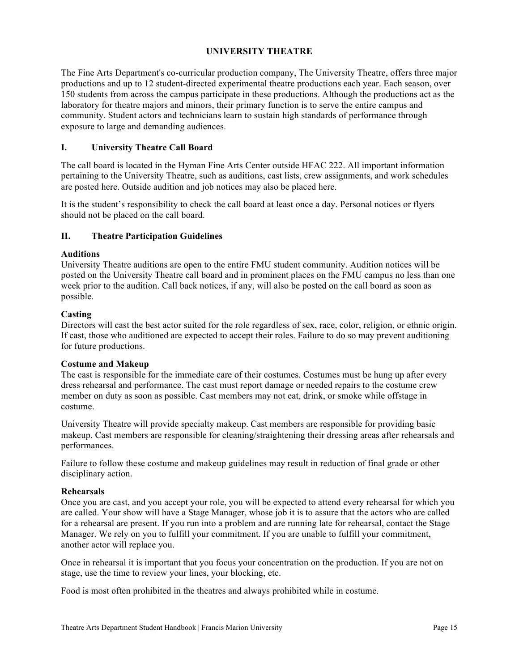# **UNIVERSITY THEATRE**

The Fine Arts Department's co-curricular production company, The University Theatre, offers three major productions and up to 12 student-directed experimental theatre productions each year. Each season, over 150 students from across the campus participate in these productions. Although the productions act as the laboratory for theatre majors and minors, their primary function is to serve the entire campus and community. Student actors and technicians learn to sustain high standards of performance through exposure to large and demanding audiences.

# **I. University Theatre Call Board**

The call board is located in the Hyman Fine Arts Center outside HFAC 222. All important information pertaining to the University Theatre, such as auditions, cast lists, crew assignments, and work schedules are posted here. Outside audition and job notices may also be placed here.

It is the student's responsibility to check the call board at least once a day. Personal notices or flyers should not be placed on the call board.

## **II. Theatre Participation Guidelines**

## **Auditions**

University Theatre auditions are open to the entire FMU student community. Audition notices will be posted on the University Theatre call board and in prominent places on the FMU campus no less than one week prior to the audition. Call back notices, if any, will also be posted on the call board as soon as possible.

## **Casting**

Directors will cast the best actor suited for the role regardless of sex, race, color, religion, or ethnic origin. If cast, those who auditioned are expected to accept their roles. Failure to do so may prevent auditioning for future productions.

#### **Costume and Makeup**

The cast is responsible for the immediate care of their costumes. Costumes must be hung up after every dress rehearsal and performance. The cast must report damage or needed repairs to the costume crew member on duty as soon as possible. Cast members may not eat, drink, or smoke while offstage in costume.

University Theatre will provide specialty makeup. Cast members are responsible for providing basic makeup. Cast members are responsible for cleaning/straightening their dressing areas after rehearsals and performances.

Failure to follow these costume and makeup guidelines may result in reduction of final grade or other disciplinary action.

#### **Rehearsals**

Once you are cast, and you accept your role, you will be expected to attend every rehearsal for which you are called. Your show will have a Stage Manager, whose job it is to assure that the actors who are called for a rehearsal are present. If you run into a problem and are running late for rehearsal, contact the Stage Manager. We rely on you to fulfill your commitment. If you are unable to fulfill your commitment, another actor will replace you.

Once in rehearsal it is important that you focus your concentration on the production. If you are not on stage, use the time to review your lines, your blocking, etc.

Food is most often prohibited in the theatres and always prohibited while in costume.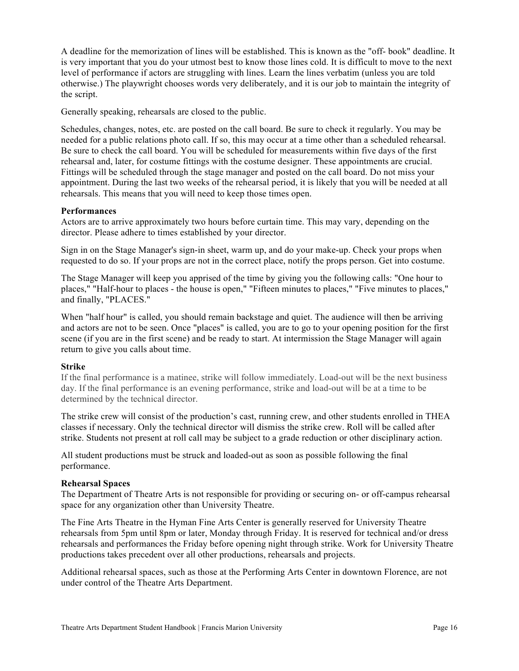A deadline for the memorization of lines will be established. This is known as the "off- book" deadline. It is very important that you do your utmost best to know those lines cold. It is difficult to move to the next level of performance if actors are struggling with lines. Learn the lines verbatim (unless you are told otherwise.) The playwright chooses words very deliberately, and it is our job to maintain the integrity of the script.

Generally speaking, rehearsals are closed to the public.

Schedules, changes, notes, etc. are posted on the call board. Be sure to check it regularly. You may be needed for a public relations photo call. If so, this may occur at a time other than a scheduled rehearsal. Be sure to check the call board. You will be scheduled for measurements within five days of the first rehearsal and, later, for costume fittings with the costume designer. These appointments are crucial. Fittings will be scheduled through the stage manager and posted on the call board. Do not miss your appointment. During the last two weeks of the rehearsal period, it is likely that you will be needed at all rehearsals. This means that you will need to keep those times open.

#### **Performances**

Actors are to arrive approximately two hours before curtain time. This may vary, depending on the director. Please adhere to times established by your director.

Sign in on the Stage Manager's sign-in sheet, warm up, and do your make-up. Check your props when requested to do so. If your props are not in the correct place, notify the props person. Get into costume.

The Stage Manager will keep you apprised of the time by giving you the following calls: "One hour to places," "Half-hour to places - the house is open," "Fifteen minutes to places," "Five minutes to places," and finally, "PLACES."

When "half hour" is called, you should remain backstage and quiet. The audience will then be arriving and actors are not to be seen. Once "places" is called, you are to go to your opening position for the first scene (if you are in the first scene) and be ready to start. At intermission the Stage Manager will again return to give you calls about time.

#### **Strike**

If the final performance is a matinee, strike will follow immediately. Load-out will be the next business day. If the final performance is an evening performance, strike and load-out will be at a time to be determined by the technical director.

The strike crew will consist of the production's cast, running crew, and other students enrolled in THEA classes if necessary. Only the technical director will dismiss the strike crew. Roll will be called after strike. Students not present at roll call may be subject to a grade reduction or other disciplinary action.

All student productions must be struck and loaded-out as soon as possible following the final performance.

#### **Rehearsal Spaces**

The Department of Theatre Arts is not responsible for providing or securing on- or off-campus rehearsal space for any organization other than University Theatre.

The Fine Arts Theatre in the Hyman Fine Arts Center is generally reserved for University Theatre rehearsals from 5pm until 8pm or later, Monday through Friday. It is reserved for technical and/or dress rehearsals and performances the Friday before opening night through strike. Work for University Theatre productions takes precedent over all other productions, rehearsals and projects.

Additional rehearsal spaces, such as those at the Performing Arts Center in downtown Florence, are not under control of the Theatre Arts Department.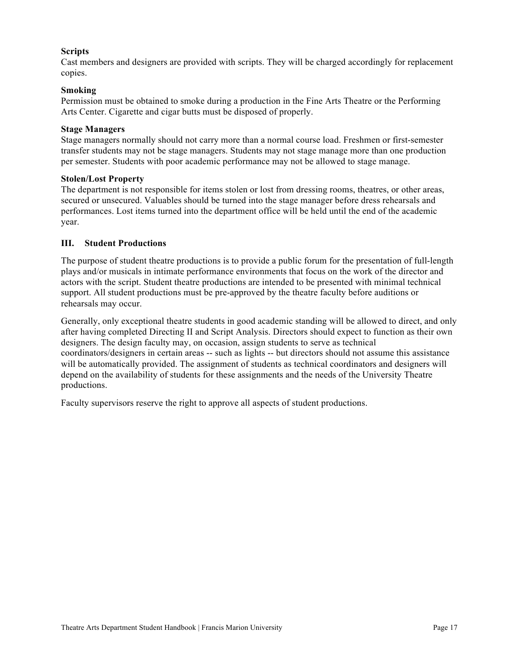## **Scripts**

Cast members and designers are provided with scripts. They will be charged accordingly for replacement copies.

## **Smoking**

Permission must be obtained to smoke during a production in the Fine Arts Theatre or the Performing Arts Center. Cigarette and cigar butts must be disposed of properly.

#### **Stage Managers**

Stage managers normally should not carry more than a normal course load. Freshmen or first-semester transfer students may not be stage managers. Students may not stage manage more than one production per semester. Students with poor academic performance may not be allowed to stage manage.

#### **Stolen/Lost Property**

The department is not responsible for items stolen or lost from dressing rooms, theatres, or other areas, secured or unsecured. Valuables should be turned into the stage manager before dress rehearsals and performances. Lost items turned into the department office will be held until the end of the academic year.

## **III. Student Productions**

The purpose of student theatre productions is to provide a public forum for the presentation of full-length plays and/or musicals in intimate performance environments that focus on the work of the director and actors with the script. Student theatre productions are intended to be presented with minimal technical support. All student productions must be pre-approved by the theatre faculty before auditions or rehearsals may occur.

Generally, only exceptional theatre students in good academic standing will be allowed to direct, and only after having completed Directing II and Script Analysis. Directors should expect to function as their own designers. The design faculty may, on occasion, assign students to serve as technical coordinators/designers in certain areas -- such as lights -- but directors should not assume this assistance will be automatically provided. The assignment of students as technical coordinators and designers will depend on the availability of students for these assignments and the needs of the University Theatre productions.

Faculty supervisors reserve the right to approve all aspects of student productions.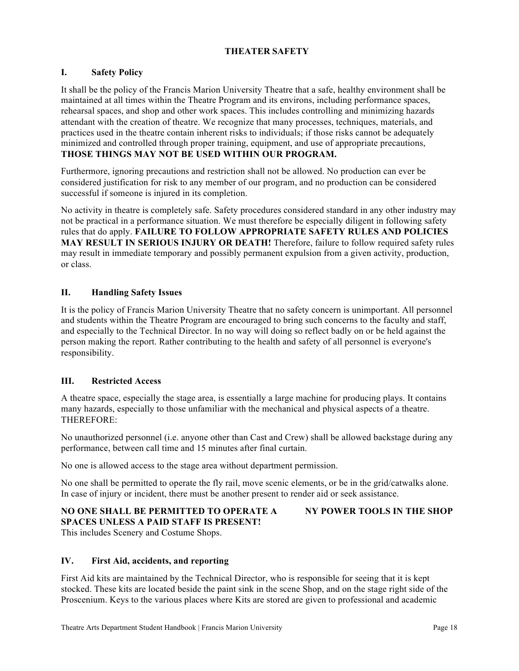# **THEATER SAFETY**

# **I. Safety Policy**

It shall be the policy of the Francis Marion University Theatre that a safe, healthy environment shall be maintained at all times within the Theatre Program and its environs, including performance spaces, rehearsal spaces, and shop and other work spaces. This includes controlling and minimizing hazards attendant with the creation of theatre. We recognize that many processes, techniques, materials, and practices used in the theatre contain inherent risks to individuals; if those risks cannot be adequately minimized and controlled through proper training, equipment, and use of appropriate precautions, **THOSE THINGS MAY NOT BE USED WITHIN OUR PROGRAM.**

Furthermore, ignoring precautions and restriction shall not be allowed. No production can ever be considered justification for risk to any member of our program, and no production can be considered successful if someone is injured in its completion.

No activity in theatre is completely safe. Safety procedures considered standard in any other industry may not be practical in a performance situation. We must therefore be especially diligent in following safety rules that do apply. **FAILURE TO FOLLOW APPROPRIATE SAFETY RULES AND POLICIES MAY RESULT IN SERIOUS INJURY OR DEATH!** Therefore, failure to follow required safety rules may result in immediate temporary and possibly permanent expulsion from a given activity, production, or class.

# **II. Handling Safety Issues**

It is the policy of Francis Marion University Theatre that no safety concern is unimportant. All personnel and students within the Theatre Program are encouraged to bring such concerns to the faculty and staff, and especially to the Technical Director. In no way will doing so reflect badly on or be held against the person making the report. Rather contributing to the health and safety of all personnel is everyone's responsibility.

## **III. Restricted Access**

A theatre space, especially the stage area, is essentially a large machine for producing plays. It contains many hazards, especially to those unfamiliar with the mechanical and physical aspects of a theatre. THEREFORE:

No unauthorized personnel (i.e. anyone other than Cast and Crew) shall be allowed backstage during any performance, between call time and 15 minutes after final curtain.

No one is allowed access to the stage area without department permission.

No one shall be permitted to operate the fly rail, move scenic elements, or be in the grid/catwalks alone. In case of injury or incident, there must be another present to render aid or seek assistance.

## **NO ONE SHALL BE PERMITTED TO OPERATE A NY POWER TOOLS IN THE SHOP SPACES UNLESS A PAID STAFF IS PRESENT!**

This includes Scenery and Costume Shops.

## **IV. First Aid, accidents, and reporting**

First Aid kits are maintained by the Technical Director, who is responsible for seeing that it is kept stocked. These kits are located beside the paint sink in the scene Shop, and on the stage right side of the Proscenium. Keys to the various places where Kits are stored are given to professional and academic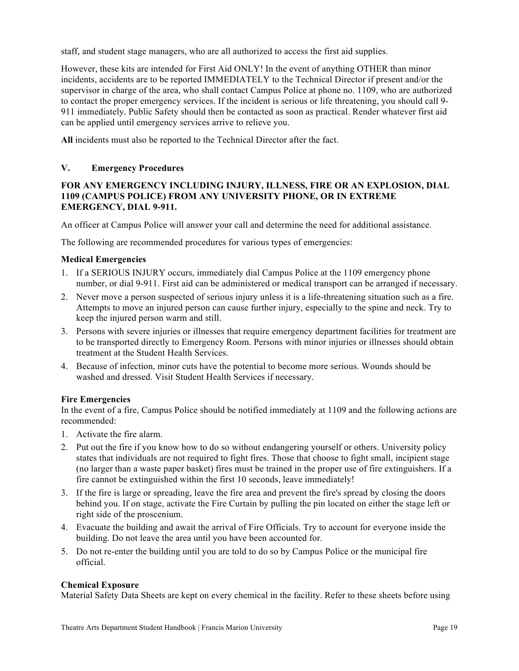staff, and student stage managers, who are all authorized to access the first aid supplies.

However, these kits are intended for First Aid ONLY! In the event of anything OTHER than minor incidents, accidents are to be reported IMMEDIATELY to the Technical Director if present and/or the supervisor in charge of the area, who shall contact Campus Police at phone no. 1109, who are authorized to contact the proper emergency services. If the incident is serious or life threatening, you should call 9- 911 immediately. Public Safety should then be contacted as soon as practical. Render whatever first aid can be applied until emergency services arrive to relieve you.

**All** incidents must also be reported to the Technical Director after the fact.

## **V. Emergency Procedures**

# **FOR ANY EMERGENCY INCLUDING INJURY, ILLNESS, FIRE OR AN EXPLOSION, DIAL 1109 (CAMPUS POLICE) FROM ANY UNIVERSITY PHONE, OR IN EXTREME EMERGENCY, DIAL 9-911.**

An officer at Campus Police will answer your call and determine the need for additional assistance.

The following are recommended procedures for various types of emergencies:

## **Medical Emergencies**

- 1. If a SERIOUS INJURY occurs, immediately dial Campus Police at the 1109 emergency phone number, or dial 9-911. First aid can be administered or medical transport can be arranged if necessary.
- 2. Never move a person suspected of serious injury unless it is a life-threatening situation such as a fire. Attempts to move an injured person can cause further injury, especially to the spine and neck. Try to keep the injured person warm and still.
- 3. Persons with severe injuries or illnesses that require emergency department facilities for treatment are to be transported directly to Emergency Room. Persons with minor injuries or illnesses should obtain treatment at the Student Health Services.
- 4. Because of infection, minor cuts have the potential to become more serious. Wounds should be washed and dressed. Visit Student Health Services if necessary.

## **Fire Emergencies**

In the event of a fire, Campus Police should be notified immediately at 1109 and the following actions are recommended:

- 1. Activate the fire alarm.
- 2. Put out the fire if you know how to do so without endangering yourself or others. University policy states that individuals are not required to fight fires. Those that choose to fight small, incipient stage (no larger than a waste paper basket) fires must be trained in the proper use of fire extinguishers. If a fire cannot be extinguished within the first 10 seconds, leave immediately!
- 3. If the fire is large or spreading, leave the fire area and prevent the fire's spread by closing the doors behind you. If on stage, activate the Fire Curtain by pulling the pin located on either the stage left or right side of the proscenium.
- 4. Evacuate the building and await the arrival of Fire Officials. Try to account for everyone inside the building. Do not leave the area until you have been accounted for.
- 5. Do not re-enter the building until you are told to do so by Campus Police or the municipal fire official.

#### **Chemical Exposure**

Material Safety Data Sheets are kept on every chemical in the facility. Refer to these sheets before using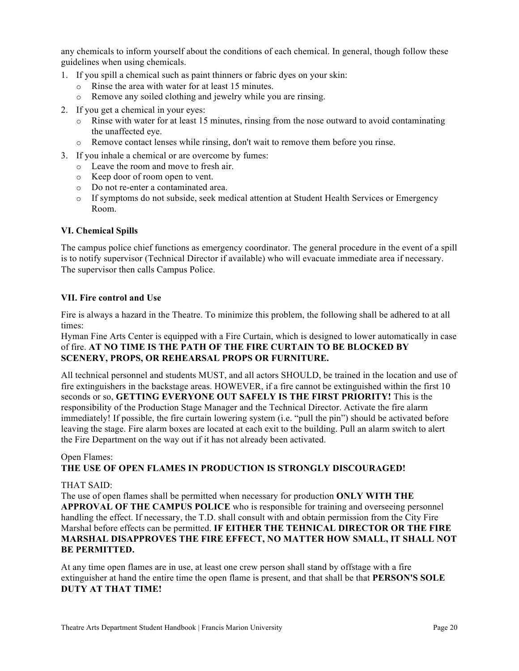any chemicals to inform yourself about the conditions of each chemical. In general, though follow these guidelines when using chemicals.

- 1. If you spill a chemical such as paint thinners or fabric dyes on your skin:
	- o Rinse the area with water for at least 15 minutes.
	- o Remove any soiled clothing and jewelry while you are rinsing.
- 2. If you get a chemical in your eyes:
	- $\circ$  Rinse with water for at least 15 minutes, rinsing from the nose outward to avoid contaminating the unaffected eye.
	- o Remove contact lenses while rinsing, don't wait to remove them before you rinse.
- 3. If you inhale a chemical or are overcome by fumes:
	- o Leave the room and move to fresh air.
	- o Keep door of room open to vent.
	- o Do not re-enter a contaminated area.
	- o If symptoms do not subside, seek medical attention at Student Health Services or Emergency Room.

## **VI. Chemical Spills**

The campus police chief functions as emergency coordinator. The general procedure in the event of a spill is to notify supervisor (Technical Director if available) who will evacuate immediate area if necessary. The supervisor then calls Campus Police.

## **VII. Fire control and Use**

Fire is always a hazard in the Theatre. To minimize this problem, the following shall be adhered to at all times:

Hyman Fine Arts Center is equipped with a Fire Curtain, which is designed to lower automatically in case of fire. **AT NO TIME IS THE PATH OF THE FIRE CURTAIN TO BE BLOCKED BY SCENERY, PROPS, OR REHEARSAL PROPS OR FURNITURE.**

All technical personnel and students MUST, and all actors SHOULD, be trained in the location and use of fire extinguishers in the backstage areas. HOWEVER, if a fire cannot be extinguished within the first 10 seconds or so, **GETTING EVERYONE OUT SAFELY IS THE FIRST PRIORITY!** This is the responsibility of the Production Stage Manager and the Technical Director. Activate the fire alarm immediately! If possible, the fire curtain lowering system (i.e. "pull the pin") should be activated before leaving the stage. Fire alarm boxes are located at each exit to the building. Pull an alarm switch to alert the Fire Department on the way out if it has not already been activated.

# Open Flames:

## **THE USE OF OPEN FLAMES IN PRODUCTION IS STRONGLY DISCOURAGED!**

#### THAT SAID:

The use of open flames shall be permitted when necessary for production **ONLY WITH THE APPROVAL OF THE CAMPUS POLICE** who is responsible for training and overseeing personnel handling the effect. If necessary, the T.D. shall consult with and obtain permission from the City Fire Marshal before effects can be permitted. **IF EITHER THE TEHNICAL DIRECTOR OR THE FIRE MARSHAL DISAPPROVES THE FIRE EFFECT, NO MATTER HOW SMALL, IT SHALL NOT BE PERMITTED.** 

At any time open flames are in use, at least one crew person shall stand by offstage with a fire extinguisher at hand the entire time the open flame is present, and that shall be that **PERSON'S SOLE DUTY AT THAT TIME!**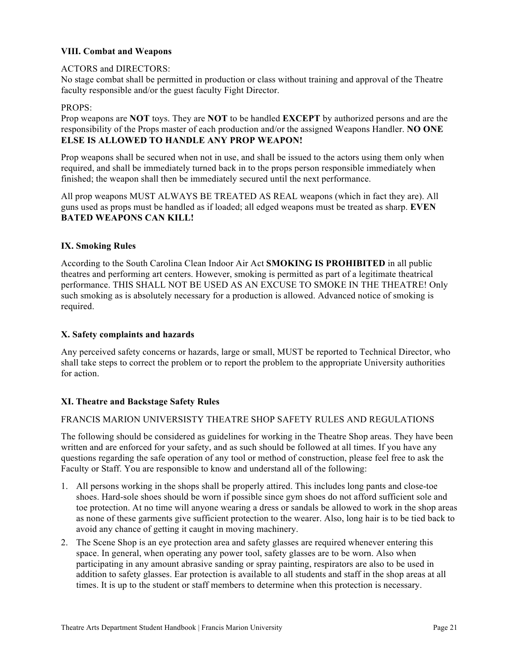# **VIII. Combat and Weapons**

## ACTORS and DIRECTORS:

No stage combat shall be permitted in production or class without training and approval of the Theatre faculty responsible and/or the guest faculty Fight Director.

## PROPS:

Prop weapons are **NOT** toys. They are **NOT** to be handled **EXCEPT** by authorized persons and are the responsibility of the Props master of each production and/or the assigned Weapons Handler. **NO ONE ELSE IS ALLOWED TO HANDLE ANY PROP WEAPON!** 

Prop weapons shall be secured when not in use, and shall be issued to the actors using them only when required, and shall be immediately turned back in to the props person responsible immediately when finished; the weapon shall then be immediately secured until the next performance.

All prop weapons MUST ALWAYS BE TREATED AS REAL weapons (which in fact they are). All guns used as props must be handled as if loaded; all edged weapons must be treated as sharp. **EVEN BATED WEAPONS CAN KILL!**

## **IX. Smoking Rules**

According to the South Carolina Clean Indoor Air Act **SMOKING IS PROHIBITED** in all public theatres and performing art centers. However, smoking is permitted as part of a legitimate theatrical performance. THIS SHALL NOT BE USED AS AN EXCUSE TO SMOKE IN THE THEATRE! Only such smoking as is absolutely necessary for a production is allowed. Advanced notice of smoking is required.

# **X. Safety complaints and hazards**

Any perceived safety concerns or hazards, large or small, MUST be reported to Technical Director, who shall take steps to correct the problem or to report the problem to the appropriate University authorities for action.

## **XI. Theatre and Backstage Safety Rules**

## FRANCIS MARION UNIVERSISTY THEATRE SHOP SAFETY RULES AND REGULATIONS

The following should be considered as guidelines for working in the Theatre Shop areas. They have been written and are enforced for your safety, and as such should be followed at all times. If you have any questions regarding the safe operation of any tool or method of construction, please feel free to ask the Faculty or Staff. You are responsible to know and understand all of the following:

- 1. All persons working in the shops shall be properly attired. This includes long pants and close-toe shoes. Hard-sole shoes should be worn if possible since gym shoes do not afford sufficient sole and toe protection. At no time will anyone wearing a dress or sandals be allowed to work in the shop areas as none of these garments give sufficient protection to the wearer. Also, long hair is to be tied back to avoid any chance of getting it caught in moving machinery.
- 2. The Scene Shop is an eye protection area and safety glasses are required whenever entering this space. In general, when operating any power tool, safety glasses are to be worn. Also when participating in any amount abrasive sanding or spray painting, respirators are also to be used in addition to safety glasses. Ear protection is available to all students and staff in the shop areas at all times. It is up to the student or staff members to determine when this protection is necessary.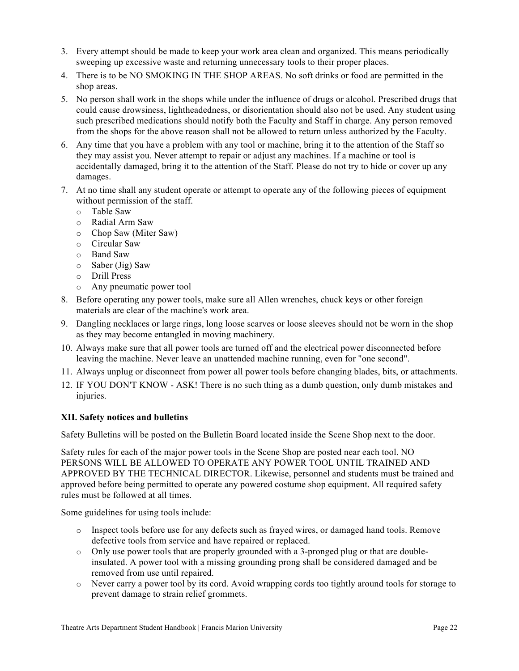- 3. Every attempt should be made to keep your work area clean and organized. This means periodically sweeping up excessive waste and returning unnecessary tools to their proper places.
- 4. There is to be NO SMOKING IN THE SHOP AREAS. No soft drinks or food are permitted in the shop areas.
- 5. No person shall work in the shops while under the influence of drugs or alcohol. Prescribed drugs that could cause drowsiness, lightheadedness, or disorientation should also not be used. Any student using such prescribed medications should notify both the Faculty and Staff in charge. Any person removed from the shops for the above reason shall not be allowed to return unless authorized by the Faculty.
- 6. Any time that you have a problem with any tool or machine, bring it to the attention of the Staff so they may assist you. Never attempt to repair or adjust any machines. If a machine or tool is accidentally damaged, bring it to the attention of the Staff. Please do not try to hide or cover up any damages.
- 7. At no time shall any student operate or attempt to operate any of the following pieces of equipment without permission of the staff.
	- o Table Saw
	- o Radial Arm Saw
	- o Chop Saw (Miter Saw)
	- o Circular Saw
	- o Band Saw
	- o Saber (Jig) Saw
	- o Drill Press
	- o Any pneumatic power tool
- 8. Before operating any power tools, make sure all Allen wrenches, chuck keys or other foreign materials are clear of the machine's work area.
- 9. Dangling necklaces or large rings, long loose scarves or loose sleeves should not be worn in the shop as they may become entangled in moving machinery.
- 10. Always make sure that all power tools are turned off and the electrical power disconnected before leaving the machine. Never leave an unattended machine running, even for "one second".
- 11. Always unplug or disconnect from power all power tools before changing blades, bits, or attachments.
- 12. IF YOU DON'T KNOW ASK! There is no such thing as a dumb question, only dumb mistakes and injuries.

## **XII. Safety notices and bulletins**

Safety Bulletins will be posted on the Bulletin Board located inside the Scene Shop next to the door.

Safety rules for each of the major power tools in the Scene Shop are posted near each tool. NO PERSONS WILL BE ALLOWED TO OPERATE ANY POWER TOOL UNTIL TRAINED AND APPROVED BY THE TECHNICAL DIRECTOR. Likewise, personnel and students must be trained and approved before being permitted to operate any powered costume shop equipment. All required safety rules must be followed at all times.

Some guidelines for using tools include:

- o Inspect tools before use for any defects such as frayed wires, or damaged hand tools. Remove defective tools from service and have repaired or replaced.
- $\circ$  Only use power tools that are properly grounded with a 3-pronged plug or that are doubleinsulated. A power tool with a missing grounding prong shall be considered damaged and be removed from use until repaired.
- o Never carry a power tool by its cord. Avoid wrapping cords too tightly around tools for storage to prevent damage to strain relief grommets.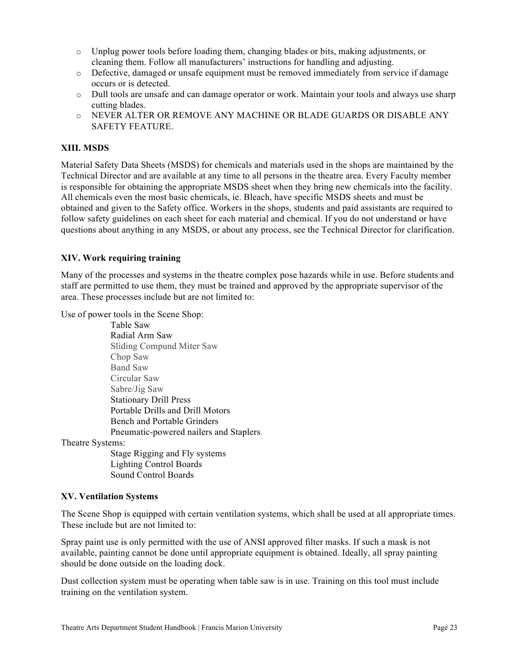- o Unplug power tools before loading them, changing blades or bits, making adjustments, or cleaning them. Follow all manufacturers' instructions for handling and adjusting.
- o Defective, damaged or unsafe equipment must be removed immediately from service if damage occurs or is detected.
- o Dull tools are unsafe and can damage operator or work. Maintain your tools and always use sharp cutting blades.
- o NEVER ALTER OR REMOVE ANY MACHINE OR BLADE GUARDS OR DISABLE ANY SAFETY FEATURE.

# **XIII. MSDS**

Material Safety Data Sheets (MSDS) for chemicals and materials used in the shops are maintained by the Technical Director and are available at any time to all persons in the theatre area. Every Faculty member is responsible for obtaining the appropriate MSDS sheet when they bring new chemicals into the facility. All chemicals even the most basic chemicals, ie. Bleach, have specific MSDS sheets and must be obtained and given to the Safety office. Workers in the shops, students and paid assistants are required to follow safety guidelines on each sheet for each material and chemical. If you do not understand or have questions about anything in any MSDS, or about any process, see the Technical Director for clarification.

## **XIV. Work requiring training**

Many of the processes and systems in the theatre complex pose hazards while in use. Before students and staff are permitted to use them, they must be trained and approved by the appropriate supervisor of the area. These processes include but are not limited to:

Use of power tools in the Scene Shop:

Table Saw Radial Arm Saw Sliding Compund Miter Saw Chop Saw Band Saw Circular Saw Sabre/Jig Saw Stationary Drill Press Portable Drills and Drill Motors Bench and Portable Grinders Pneumatic-powered nailers and Staplers Theatre Systems: Stage Rigging and Fly systems Lighting Control Boards Sound Control Boards

## **XV. Ventilation Systems**

The Scene Shop is equipped with certain ventilation systems, which shall be used at all appropriate times. These include but are not limited to:

Spray paint use is only permitted with the use of ANSI approved filter masks. If such a mask is not available, painting cannot be done until appropriate equipment is obtained. Ideally, all spray painting should be done outside on the loading dock.

Dust collection system must be operating when table saw is in use. Training on this tool must include training on the ventilation system.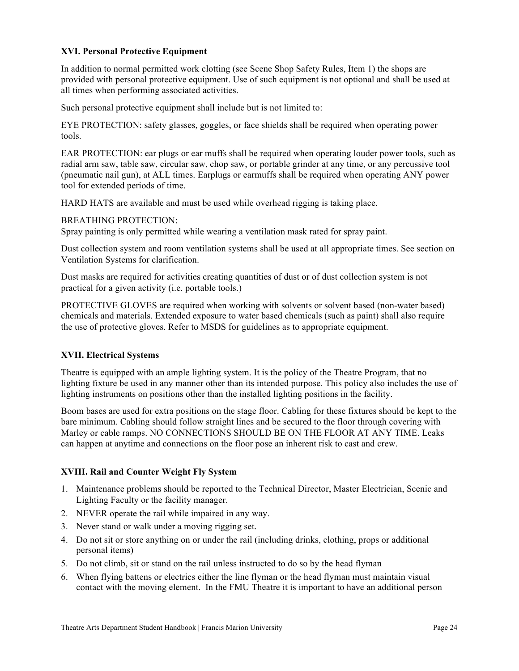# **XVI. Personal Protective Equipment**

In addition to normal permitted work clotting (see Scene Shop Safety Rules, Item 1) the shops are provided with personal protective equipment. Use of such equipment is not optional and shall be used at all times when performing associated activities.

Such personal protective equipment shall include but is not limited to:

EYE PROTECTION: safety glasses, goggles, or face shields shall be required when operating power tools.

EAR PROTECTION: ear plugs or ear muffs shall be required when operating louder power tools, such as radial arm saw, table saw, circular saw, chop saw, or portable grinder at any time, or any percussive tool (pneumatic nail gun), at ALL times. Earplugs or earmuffs shall be required when operating ANY power tool for extended periods of time.

HARD HATS are available and must be used while overhead rigging is taking place.

BREATHING PROTECTION:

Spray painting is only permitted while wearing a ventilation mask rated for spray paint.

Dust collection system and room ventilation systems shall be used at all appropriate times. See section on Ventilation Systems for clarification.

Dust masks are required for activities creating quantities of dust or of dust collection system is not practical for a given activity (i.e. portable tools.)

PROTECTIVE GLOVES are required when working with solvents or solvent based (non-water based) chemicals and materials. Extended exposure to water based chemicals (such as paint) shall also require the use of protective gloves. Refer to MSDS for guidelines as to appropriate equipment.

#### **XVII. Electrical Systems**

Theatre is equipped with an ample lighting system. It is the policy of the Theatre Program, that no lighting fixture be used in any manner other than its intended purpose. This policy also includes the use of lighting instruments on positions other than the installed lighting positions in the facility.

Boom bases are used for extra positions on the stage floor. Cabling for these fixtures should be kept to the bare minimum. Cabling should follow straight lines and be secured to the floor through covering with Marley or cable ramps. NO CONNECTIONS SHOULD BE ON THE FLOOR AT ANY TIME. Leaks can happen at anytime and connections on the floor pose an inherent risk to cast and crew.

## **XVIII. Rail and Counter Weight Fly System**

- 1. Maintenance problems should be reported to the Technical Director, Master Electrician, Scenic and Lighting Faculty or the facility manager.
- 2. NEVER operate the rail while impaired in any way.
- 3. Never stand or walk under a moving rigging set.
- 4. Do not sit or store anything on or under the rail (including drinks, clothing, props or additional personal items)
- 5. Do not climb, sit or stand on the rail unless instructed to do so by the head flyman
- 6. When flying battens or electrics either the line flyman or the head flyman must maintain visual contact with the moving element. In the FMU Theatre it is important to have an additional person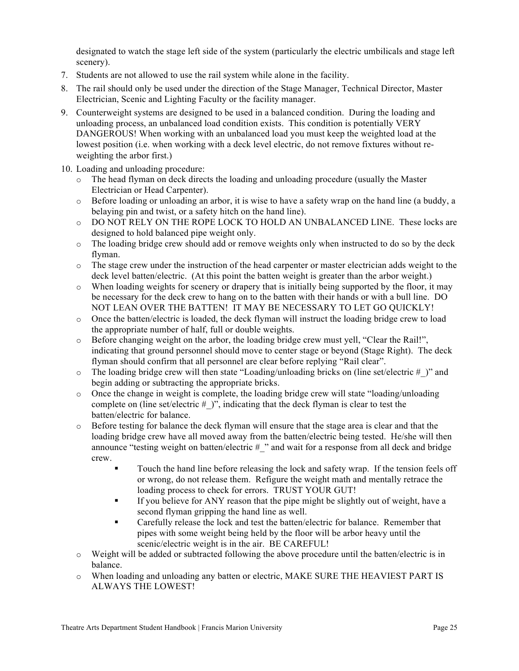designated to watch the stage left side of the system (particularly the electric umbilicals and stage left scenery).

- 7. Students are not allowed to use the rail system while alone in the facility.
- 8. The rail should only be used under the direction of the Stage Manager, Technical Director, Master Electrician, Scenic and Lighting Faculty or the facility manager.
- 9. Counterweight systems are designed to be used in a balanced condition. During the loading and unloading process, an unbalanced load condition exists. This condition is potentially VERY DANGEROUS! When working with an unbalanced load you must keep the weighted load at the lowest position (i.e. when working with a deck level electric, do not remove fixtures without reweighting the arbor first.)
- 10. Loading and unloading procedure:
	- o The head flyman on deck directs the loading and unloading procedure (usually the Master Electrician or Head Carpenter).
	- $\circ$  Before loading or unloading an arbor, it is wise to have a safety wrap on the hand line (a buddy, a belaying pin and twist, or a safety hitch on the hand line).
	- o DO NOT RELY ON THE ROPE LOCK TO HOLD AN UNBALANCED LINE. These locks are designed to hold balanced pipe weight only.
	- $\circ$  The loading bridge crew should add or remove weights only when instructed to do so by the deck flyman.
	- o The stage crew under the instruction of the head carpenter or master electrician adds weight to the deck level batten/electric. (At this point the batten weight is greater than the arbor weight.)
	- $\circ$  When loading weights for scenery or drapery that is initially being supported by the floor, it may be necessary for the deck crew to hang on to the batten with their hands or with a bull line. DO NOT LEAN OVER THE BATTEN! IT MAY BE NECESSARY TO LET GO QUICKLY!
	- $\circ$  Once the batten/electric is loaded, the deck flyman will instruct the loading bridge crew to load the appropriate number of half, full or double weights.
	- $\circ$  Before changing weight on the arbor, the loading bridge crew must yell, "Clear the Rail!", indicating that ground personnel should move to center stage or beyond (Stage Right). The deck flyman should confirm that all personnel are clear before replying "Rail clear".
	- $\circ$  The loading bridge crew will then state "Loading/unloading bricks on (line set/electric #)" and begin adding or subtracting the appropriate bricks.
	- $\circ$  Once the change in weight is complete, the loading bridge crew will state "loading/unloading complete on (line set/electric  $#$ )", indicating that the deck flyman is clear to test the batten/electric for balance.
	- o Before testing for balance the deck flyman will ensure that the stage area is clear and that the loading bridge crew have all moved away from the batten/electric being tested. He/she will then announce "testing weight on batten/electric # " and wait for a response from all deck and bridge crew.
		- Touch the hand line before releasing the lock and safety wrap. If the tension feels off or wrong, do not release them. Refigure the weight math and mentally retrace the loading process to check for errors. TRUST YOUR GUT!
		- § If you believe for ANY reason that the pipe might be slightly out of weight, have a second flyman gripping the hand line as well.
		- Carefully release the lock and test the batten/electric for balance. Remember that pipes with some weight being held by the floor will be arbor heavy until the scenic/electric weight is in the air. BE CAREFUL!
	- o Weight will be added or subtracted following the above procedure until the batten/electric is in balance.
	- o When loading and unloading any batten or electric, MAKE SURE THE HEAVIEST PART IS ALWAYS THE LOWEST!